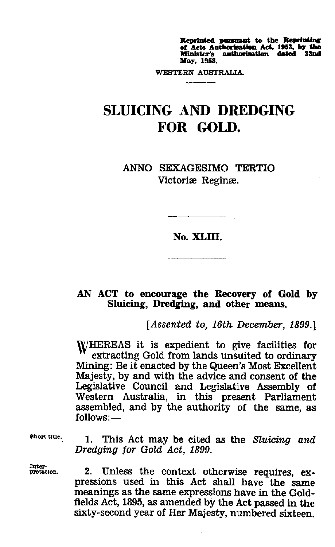**Reprinted pursuant to the Reprinting<br>of Acts Authorisation Act, 1953, by the<br>Minister's authorisation dated 22nd May, 1958.**

**WESTERN AUSTRALIA.** 

## SLUICING AND DREDGING FOR GOLD.

ANNO SEXAGESIMO TERTIO Victoriæ Reginæ.

## **No. XLIII.**

## **AN ACT to encourage the Recovery of Gold by Sluicing, Dredging, and other means.**

*[Assented to, 16th December, 1899.]*

WHEREAS it is expedient to give facilities for extracting Gold from lands unsuited to ordinary Mining: Be it enacted by the Queen's Most Excellent Majesty, by and with the advice and consent of the Legislative Council and Legislative Assembly of Western Australia, in this present Parliament assembled, and by the authority of the same, *as* follows:—

**Short title.**<br>.

Inter-<br>pretation.

1. This Act may be cited as the *Sluicing and Dredging for Gold Act, 1899.*

2. Unless the context otherwise requires, expressions used in this Act shall have the same meanings as the same expressions have in the Goldfields Act, 1895, as amended by the Act passed in the sixty-second year of Her Majesty, numbered sixteen.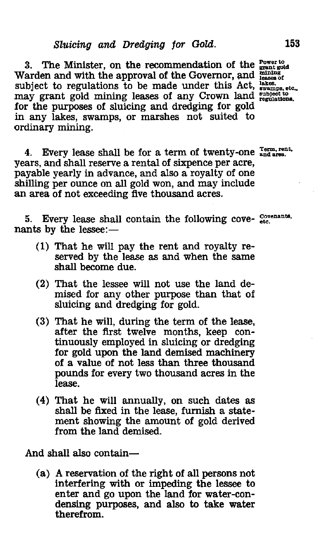3. The Minister, on the recommendation of the  $_{\text{grant gold}}^{\text{Power to}}$ Warden and with the approval of the Governor, and *ignation* of subject to regulations to be made under this Act, <sup>lakes</sup>,  $\frac{1}{\text{swamps, etc.}}$ may grant gold mining leases of any Crown land **regulations**. for the purposes of sluicing and dredging for gold in any lakes, swamps, or marshes not suited to ordinary mining.

4. Every lease shall be for a term of twenty-one **Instantial**. years, and shall reserve a rental of sixpence per acre, payable yearly in advance, and also a royalty of one shilling per ounce on all gold won, and may include an area of not exceeding five thousand acres.

5. Every lease shall contain the following cove- covenants. nants by the lessee:

- (1) That he will pay the rent and royalty reserved by the lease *as* and when the same shall become due.
- (2) That the lessee will not use the land demised for any other purpose than that of sluicing and dredging for gold.
- (3) That he will, during the term of the lease, after the first twelve months, keep continuously employed in sluicing or dredging for gold upon the land demised machinery of a value of not less than three thousand pounds for every two thousand acres in the lease.
- (4) That he will annually, on such dates *as* shall be fixed in the lease, furnish a statement showing the amount of gold derived from the land demised.

And shall also contain

(a) A reservation of the right of all persons not interfering with or impeding the lessee to enter and go upon the land for water-condensing purposes, and also to take water therefrom.